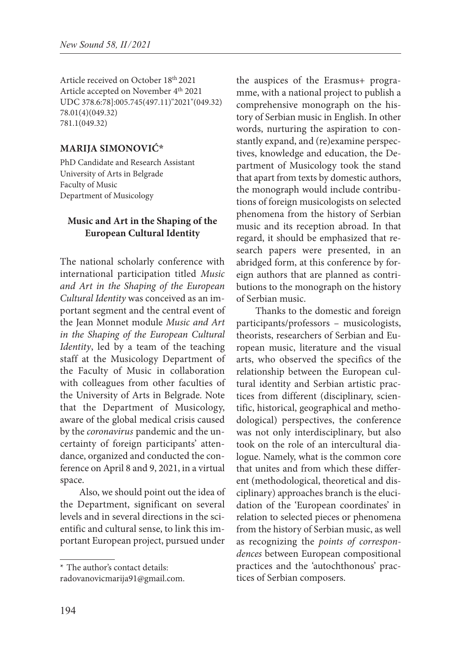Article received on October 18th 2021 Article accepted on November 4th 2021 UDC 378.6:78]:005.745(497.11)"2021"(049.32) 78.01(4)(049.32) 781.1(049.32)

## **Marija Simonović\*3**

PhD Candidate and Research Assistant University of Arts in Belgrade Faculty of Music Department of Musicology

## **Music and Art in the Shaping of the European Cultural Identity**

The national scholarly conference with international participation titled *Music and Art in the Shaping of the European Cultural Identity* was conceived as an important segment and the central event of the Jean Monnet module *Music and Art in the Shaping of the European Cultural Identity*, led by a team of the teaching staff at the Musicology Department of the Faculty of Music in collaboration with colleagues from other faculties of the University of Arts in Belgrade. Note that the Department of Musicology, aware of the global medical crisis caused by the *coronavirus* pandemic and the uncertainty of foreign participants' attendance, organized and conducted the conference on April 8 and 9, 2021, in a virtual space.

Also, we should point out the idea of the Department, significant on several levels and in several directions in the scientific and cultural sense, to link this important European project, pursued under

\* The author's contact details:

the auspices of the Erasmus+ programme, with a national project to publish a comprehensive monograph on the history of Serbian music in English. In other words, nurturing the aspiration to constantly expand, and (re)examine perspectives, knowledge and education, the Department of Musicology took the stand that apart from texts by domestic authors, the monograph would include contributions of foreign musicologists on selected phenomena from the history of Serbian music and its reception abroad. In that regard, it should be emphasized that research papers were presented, in an abridged form, at this conference by foreign authors that are planned as contributions to the monograph on the history of Serbian music.

Thanks to the domestic and foreign participants/professors – musicologists, theorists, researchers of Serbian and European music, literature and the visual arts, who observed the specifics of the relationship between the European cultural identity and Serbian artistic practices from different (disciplinary, scientific, historical, geographical and methodological) perspectives, the conference was not only interdisciplinary, but also took on the role of an intercultural dialogue. Namely, what is the common core that unites and from which these different (methodological, theoretical and disciplinary) approaches branch is the elucidation of the 'European coordinates' in relation to selected pieces or phenomena from the history of Serbian music, as well as recognizing the *points of correspondences* between European compositional practices and the 'autochthonous' practices of Serbian composers.

radovanovicmarija91@gmail.com.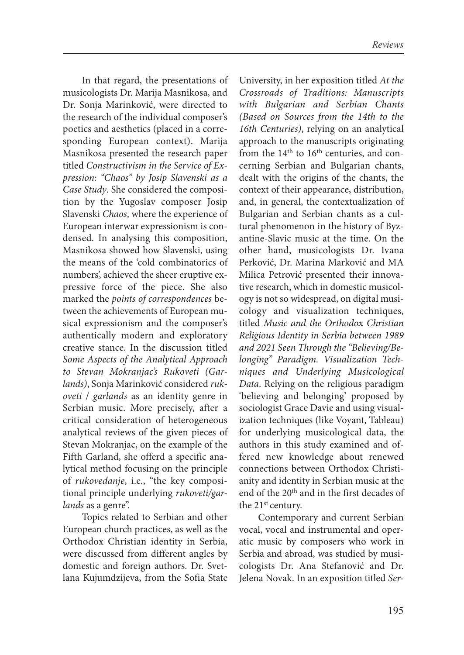In that regard, the presentations of musicologists Dr. Marija Masnikosa, and Dr. Sonja Marinković, were directed to the research of the individual composer's poetics and aesthetics (placed in a corresponding European context). Marija Masnikosa presented the research paper titled *Constructivism in the Service of Expression: "Chaos" by Josip Slavenski as a Case Study*. She considered the composition by the Yugoslav composer Josip Slavenski *Chaos*, where the experience of European interwar expressionism is condensed. In analysing this composition, Masnikosa showed how Slavenski, using the means of the 'cold combinatorics of numbers', achieved the sheer eruptive expressive force of the piece. She also marked the *points of correspondences* between the achievements of European musical expressionism and the composer's authentically modern and exploratory creative stance. In the discussion titled *Some Aspects of the Analytical Approach to Stevan Mokranjac's Rukoveti (Garlands)*, Sonja Marinković considered *rukoveti* / *garlands* as an identity genre in Serbian music. More precisely, after a critical consideration of heterogeneous analytical reviews of the given pieces of Stevan Mokranjac, on the example of the Fifth Garland, she offerd a specific analytical method focusing on the principle of *rukovedanje*, i.e., "the key compositional principle underlying *rukoveti/gar*lands as a genre".

Topics related to Serbian and other European church practices, as well as the Orthodox Christian identity in Serbia, were discussed from different angles by domestic and foreign authors. Dr. Svetlana Kujumdzijeva, from the Sofia State

University, in her exposition titled *At the Crossroads of Traditions: Manuscripts with Bulgarian and Serbian Chants (Based on Sources from the 14th to the 16th Centuries)*, relying on an analytical approach to the manuscripts originating from the  $14<sup>th</sup>$  to  $16<sup>th</sup>$  centuries, and concerning Serbian and Bulgarian chants, dealt with the origins of the chants, the context of their appearance, distribution, and, in general, the contextualization of Bulgarian and Serbian chants as a cultural phenomenon in the history of Byzantine-Slavic music at the time. On the other hand, musicologists Dr. Ivana Perković, Dr. Marina Marković and MA Milica Petrović presented their innovative research, which in domestic musicology is not so widespread, on digital musicology and visualization techniques, titled *Music and the Orthodox Christian Religious Identity in Serbia between 1989 and 2021 Seen Through the "Believing/Belonging" Paradigm. Visualization Techniques and Underlying Musicological Data*. Relying on the religious paradigm 'believing and belonging' proposed by sociologist Grace Davie and using visualization techniques (like Voyant, Tableau) for underlying musicological data, the authors in this study examined and offered new knowledge about renewed connections between Orthodox Christianity and identity in Serbian music at the end of the 20<sup>th</sup> and in the first decades of the 21st century.

Contemporary and current Serbian vocal, vocal and instrumental and operatic music by composers who work in Serbia and abroad, was studied by musicologists Dr. Ana Stefanović and Dr. Jelena Novak. In an exposition titled *Ser-*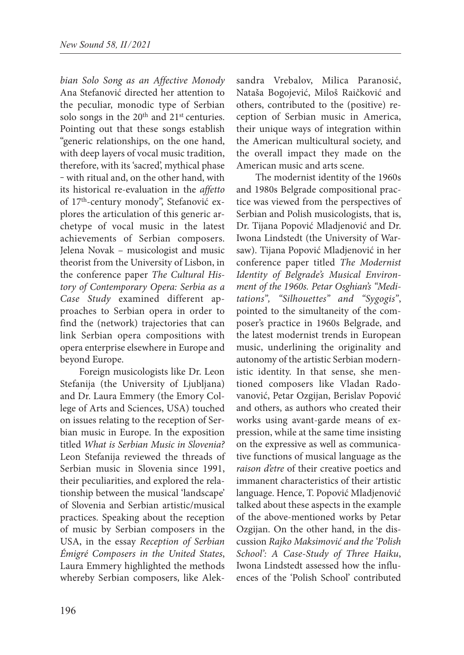*bian Solo Song as an Affective Monody* Ana Stefanović directed her attention to the peculiar, monodic type of Serbian solo songs in the 20<sup>th</sup> and 21<sup>st</sup> centuries. Pointing out that these songs establish "generic relationships, on the one hand, with deep layers of vocal music tradition, therefore, with its 'sacred', mythical phase ‒ with ritual and, on the other hand, with its historical re-evaluation in the *affetto*  of 17th-century monody", Stefanović explores the articulation of this generic archetype of vocal music in the latest achievements of Serbian composers. Jelena Novak – musicologist and music theorist from the University of Lisbon, in the conference paper *The Cultural History of Contemporary Opera: Serbia as a Case Study* examined different approaches to Serbian opera in order to find the (network) trajectories that can link Serbian opera compositions with opera enterprise elsewhere in Europe and beyond Europe.

Foreign musicologists like Dr. Leon Stefanija (the University of Ljubljana) and Dr. Laura Emmery (the Emory College of Arts and Sciences, USA) touched on issues relating to the reception of Serbian music in Europe. In the exposition titled *What is Serbian Music in Slovenia?* Leon Stefanija reviewed the threads of Serbian music in Slovenia since 1991, their peculiarities, and explored the relationship between the musical 'landscape' of Slovenia and Serbian artistic/musical practices. Speaking about the reception of music by Serbian composers in the USA, in the essay *Reception of Serbian Émigré Composers in the United States*, Laura Emmery highlighted the methods whereby Serbian composers, like Aleksandra Vrebalov, Milica Paranosić, Nataša Bogojević, Miloš Raičković and others, contributed to the (positive) reception of Serbian music in America, their unique ways of integration within the American multicultural society, and the overall impact they made on the American music and arts scene.

The modernist identity of the 1960s and 1980s Belgrade compositional practice was viewed from the perspectives of Serbian and Polish musicologists, that is, Dr. Tijana Popović Mladjenović and Dr. Iwona Lindstedt (the University of Warsaw). Tijana Popović Mladjenović in her conference paper titled *The Modernist Identity of Belgrade's Musical Environment of the 1960s. Petar Osghian's "Meditations", "Silhouettes" and "Sygogis"*, pointed to the simultaneity of the composer's practice in 1960s Belgrade, and the latest modernist trends in European music, underlining the originality and autonomy of the artistic Serbian modernistic identity. In that sense, she mentioned composers like Vladan Radovanović, Petar Ozgijan, Berislav Popović and others, as authors who created their works using avant-garde means of expression, while at the same time insisting on the expressive as well as communicative functions of musical language as the *raison d'etre* of their creative poetics and immanent characteristics of their artistic language. Hence, T. Popović Mladjenović talked about these aspects in the example of the above-mentioned works by Petar Ozgijan. On the other hand, in the discussion *Rajko Maksimović and the 'Polish School': A Case-Study of Three Haiku*, Iwona Lindstedt assessed how the influences of the 'Polish School' contributed